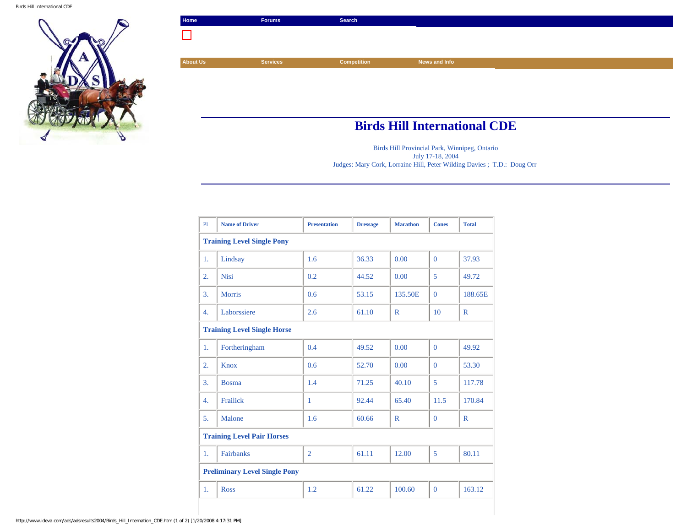Birds Hill International CDE



| Home            | Forums          | Search      |               |  |
|-----------------|-----------------|-------------|---------------|--|
|                 |                 |             |               |  |
|                 |                 |             |               |  |
| <b>About Us</b> | <b>Services</b> | Competition | News and Info |  |
|                 |                 |             |               |  |
|                 |                 |             |               |  |
|                 |                 |             |               |  |
|                 |                 |             |               |  |

## **Birds Hill International CDE**

Birds Hill Provincial Park, Winnipeg, Ontario July 17-18, 2004 Judges: Mary Cork, Lorraine Hill, Peter Wilding Davies ; T.D.: Doug Orr

| PI                                   | <b>Name of Driver</b> | <b>Presentation</b> | <b>Dressage</b> | <b>Marathon</b> | <b>Cones</b>   | <b>Total</b> |  |  |  |
|--------------------------------------|-----------------------|---------------------|-----------------|-----------------|----------------|--------------|--|--|--|
| <b>Training Level Single Pony</b>    |                       |                     |                 |                 |                |              |  |  |  |
| 1.                                   | Lindsay               | 1.6                 | 36.33           | 0.00            | $\Omega$       | 37.93        |  |  |  |
| 2.                                   | <b>Nisi</b>           | 0.2                 | 44.52           | 0.00            | 5              | 49.72        |  |  |  |
| 3.                                   | <b>Morris</b>         | 0.6                 | 53.15           | 135.50E         | $\Omega$       | 188.65E      |  |  |  |
| 4.                                   | Laborssiere           | 2.6                 | 61.10           | $\mathbb{R}$    | 10             | $\mathbb{R}$ |  |  |  |
| <b>Training Level Single Horse</b>   |                       |                     |                 |                 |                |              |  |  |  |
| 1.                                   | Fortheringham         | 0.4                 | 49.52           | 0.00            | $\Omega$       | 49.92        |  |  |  |
| 2.                                   | <b>Knox</b>           | 0.6                 | 52.70           | 0.00            | $\Omega$       | 53.30        |  |  |  |
| 3.                                   | <b>Bosma</b>          | 1.4                 | 71.25           | 40.10           | 5              | 117.78       |  |  |  |
| 4.                                   | Frailick              | $\mathbf{1}$        | 92.44           | 65.40           | 11.5           | 170.84       |  |  |  |
| 5.                                   | Malone                | 1.6                 | 60.66           | $\mathbb{R}$    | $\overline{0}$ | $\mathbb{R}$ |  |  |  |
| <b>Training Level Pair Horses</b>    |                       |                     |                 |                 |                |              |  |  |  |
| 1.                                   | <b>Fairbanks</b>      | $\overline{2}$      | 61.11           | 12.00           | 5              | 80.11        |  |  |  |
| <b>Preliminary Level Single Pony</b> |                       |                     |                 |                 |                |              |  |  |  |
| 1.                                   | <b>Ross</b>           | 1.2                 | 61.22           | 100.60          | $\overline{0}$ | 163.12       |  |  |  |
|                                      |                       |                     |                 |                 |                |              |  |  |  |